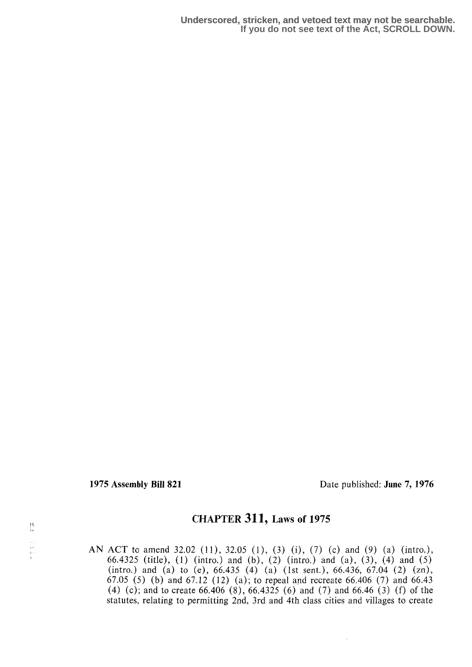$\frac{1}{2}$ 

 $\begin{bmatrix} 1 & 1 \\ 1 & 1 \\ 1 & 1 \\ 1 & 1 \end{bmatrix}$ 

1975 Assembly Bill 821 Date published: June 7, 1976

# CHAPTER 311, Laws of 1975

AN ACT to amend 32.02 (11), 32.05 (1), (3) (i), (7) (c) and (9) (a) (intro.), 66.4325 (title), (1) (intro.) and (b), (2) (intro.) and (a), (3), (4) and (5) (intro.) and (a) to (e),  $66.435$  (4) (a) (1st sent.),  $66.436$ ,  $67.04$  (2) (zn), 67.05 (5) (b) and 67 .12 (12) (a) ; to repeal and recreate 66.406 (7) and 66.43 (4) (c); and to create 66.406 (8), 66.4325 (6) and (7) and 66.46 (3) (f) of the statutes, relating to permitting 2nd, 3rd and 4th class cities and villages to create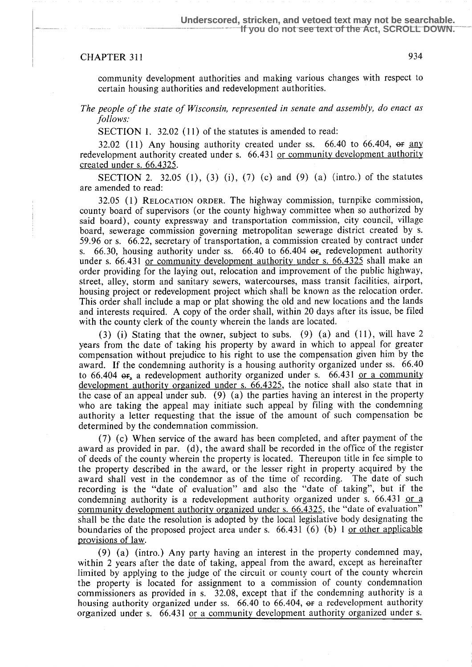## CHAPTER 311 934

community development authorities and making various changes with respect to certain housing authorities and redevelopment authorities.

The people of the state of Wisconsin, represented in senate and assembly, do enact as follows:

SECTION 1. 32.02 (11) of the statutes is amended to read:

32.02 (11) Any housing authority created under ss.  $66.40$  to  $66.404$ ,  $\overline{or}$  any redevelopment authority created under s. 66.431 or community development authority created under s. 66.4325 .

**SECTION** 2. 32.05 (1), (3) (i), (7) (c) and (9) (a) (intro.) of the statutes are amended to read:

32.05 (1) RELOCATION ORDER. The highway commission, turnpike commission, county board of supervisors (or the county highway committee when so authorized by said board), county expressway and transportation commission, city council, village board, sewerage commission governing metropolitan sewerage district created by s. 59.96 or s. 66.22, secretary of transportation, a commission created by contract under s.  $66.30$ , housing authority under ss.  $66.40$  to  $66.404$   $\sigma$ , redevelopment authority under s. 66.431 or community development authority under s. 66.4325 shall make an order providing for the laying out, relocation and improvement of the public highway, street, alley, storm and sanitary sewers, watercourses, mass transit facilities, airport, housing project or redevelopment project which shall be known as the relocation order. This order shall include a map or plat showing the old and new locations and the lands and interests required. A copy of the order shall, within 20 days after its issue, be filed with the county clerk of the county wherein the lands are located.

(3) (i) Stating that the owner, subject to subs. (9) (a) and  $(11)$ , will have 2 years from the date of taking his property by award in which to appeal for greater compensation without prejudice to his right to use the compensation given him by the award. If the condemning authority is a housing authority organized under ss. 66.40 to  $66.404$   $\sigma$ , a redevelopment authority organized under s.  $66.431$  or a community development authority organized under s. 66.4325, the notice shall also state that in the case of an appeal under sub. (9) (a) the parties having an interest in the property who are taking the appeal may initiate such appeal by filing with the condemning authority a letter requesting that the issue of the amount of such compensation be determined by the condemnation commission.

(7) (c) When service of the award has been completed, and after payment of the award as provided in par. (d), the award shall be recorded in the office of the register of deeds of the county wherein the property is located. Thereupon title in fee simple to the property described in the award, or the lesser right in property acquired by the award shall vest in the condemnor as of the time of recording. The date of such recording is the "date of evaluation" and also the "date of taking", but if the condemning authority is a redevelopment authority organized under s.  $66.431$  or a community development authority organized under s. 66.4325, the "date of evaluation" shall be the date the resolution is adopted by the local legislative body designating the boundaries of the proposed project area under s.  $66.431(6)$  (b) 1 or other applicable provisions of law.

(9) (a) (intro.) Any party having an interest in the property condemned may, within 2 years after the date of taking, appeal from the award, except as hereinafter limited by applying to the judge of the circuit or county court of the county wherein the property is located for assignment to a commission of county condemnation commissioners as provided in s. 32.08, except that if the condemning authority is a housing authority organized under ss.  $66.40$  to  $66.404$ ,  $\sigma$  a redevelopment authority organized under s. 66.431 or a community development authority organized under s.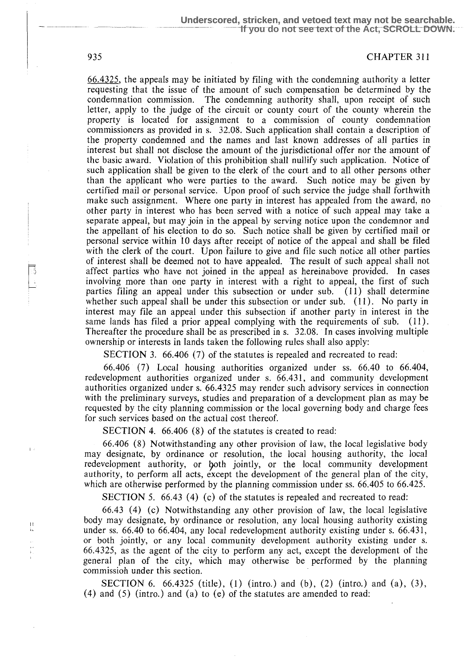#### 935 CHAPTER 311

66 .4325, the appeals may be initiated by filing with the condemning authority a letter requesting that the issue of the amount of such compensation be determined by the condemnation commission. The condemning authority shall, upon receipt of such letter, apply to the judge of the circuit or county court of the county wherein the property is located for assignment to a commission of county condemnation commissioners as provided in s. 32.08 . Such application shall contain a description of the property condemned and the names and last known addresses of all parties in interest but shall not disclose the amount of the jurisdictional offer nor the amount of the basic award. Violation of this prohibition shall nullify such application. Notice of such application shall be given to the clerk of the court and to all other persons other than the applicant who were parties to the award. Such notice may be given by certified mail or personal service. Upon proof of such service the judge shall forthwith make such assignment. Where one party in interest has appealed from the award, no other party in interest who has been served with a notice of such appeal may take a separate appeal, but may join in the appeal by serving notice upon the condemnor and the appellant of his election to do so. Such notice shall be given by certified mail or ', personal service within 10 days after receipt of notice of the appeal and shall be filed with the clerk of the court. Upon failure to give and file such notice all other parties of interest shall be deemed not to have appealed . The result of such appeal shall not affect parties who have not joined in the appeal as hereinabove provided. In cases involving more than one party in interest with a right to appeal, the first of such parties filing an appeal under this subsection or under sub. (11) shall determine whether such appeal shall be under this subsection or under sub.  $(11)$ . No party in interest may file an appeal under this subsection if another party in interest in the same lands has filed a prior appeal complying with the requirements of sub. (11). Thereafter the procedure shall be as prescribed in s. 32.08. In cases involving multiple ownership or interests in lands taken the following rules shall also apply:

SECTION 3. 66.406 (7) of the statutes is repealed and recreated to read:

66.406 (7) Local housing authorities organized under ss . 66 .40 to 66.404, redevelopment authorities organized under s. 66.431, and community development authorities organized under s. 66.4325 may render such advisory services in connection with the preliminary surveys, studies and preparation of a development plan as may be requested by the city planning commission or the local governing body and charge fees for such services based on the actual cost thereof.

SECTION 4. 66.406 (8) of the statutes is created to read:

66.406 (8) Notwithstanding any other provision of law, the local legislative body may designate, by ordinance or resolution, the local housing authority, the local redevelopment authority, or loth jointly, or the local community development authority, to perform all acts, except the development of the general plan of the city, which are otherwise performed by the planning commission under ss. 66.405 to 66.425.

SECTION 5. 66.43 (4) (c) of the statutes is repealed and recreated to read:

66.43 (4) (c) Notwithstanding any other provision of law, the local legislative body may designate, by ordinance or resolution, any local housing authority existing under ss . 66.40 to 66.404, any local redevelopment authority existing under s. 66.431, or both jointly, or any local community development authority existing under s. 66 .4325, as the agent of the city to perform any act, except the development of the ' general plan of the city, which may otherwise be performed by the planning commission under this section.

SECTION 6.  $66.4325$  (title), (1) (intro.) and (b), (2) (intro.) and (a), (3), (4) and (5) (intro.) and (a) to (e) of the statutes are amended to read:

 $\mathfrak{f}$  .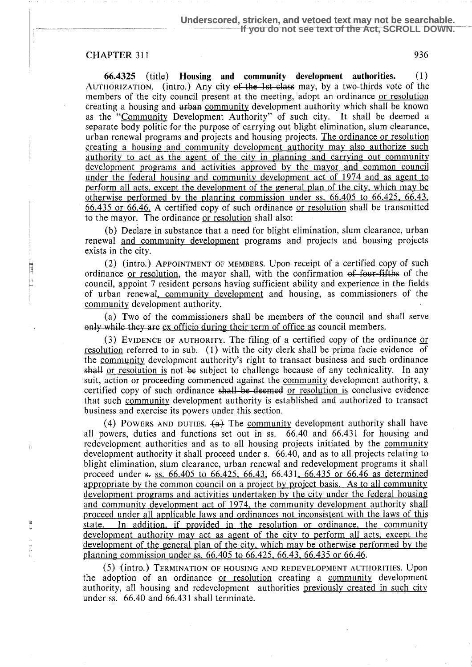### CHAPTER 311 936

j.

 $\frac{1}{1}$ 

66.4325 (title) Housing and community development authorities. (1) AUTHORIZATION. (intro.) Any city of the 1st class may, by a two-thirds vote of the members of the city council present at the meeting, adopt an ordinance or resolution creating a housing and urban community development authority which shall be known as the "Community Development Authority" of such city. It shall be deemed a separate body politic for the purpose of carrying out blight elimination, slum clearance, urban renewal programs and projects and housing projects . The ordinance or resolution creating a housing and community development authority may also authorize such authority to act as the agent of the city in planning and carrying out community development programs and activities approved by the mayor and common council under the federal housing and community development act of 1974 and as agent to perform all acts, except the development of the general plan of the city, which may be otherwise performed by the planning commission under ss.  $66.405$  to  $66.425$ ,  $66.43$ , 66.435 or 66.46. A certified copy of such ordinance or resolution shall be transmitted to the mayor. The ordinance or resolution shall also:

(b) Declare in substance that a need for blight elimination, slum clearance, urban renewal and community development programs and projects and housing projects exists in the city.

 $(2)$  (intro.) APPOINTMENT OF MEMBERS. Upon receipt of a certified copy of such ordinance or resolution, the mayor shall, with the confirmation of four-fifths of the council, appoint 7 resident persons having sufficient ability and experience in the fields of urban renewal, community development and housing, as commissioners of the community development authority.

(a) Two of the commissioners shall be members of the council and shall serve only while they are ex officio during their term of office as council members.

(3) EVIDENCE OF AUTHORITY. The filing of a certified copy of the ordinance or resolution referred to in sub. (1) with the city clerk shall be prima facie evidence of the community development authority's right to transact business and such ordinance shall or resolution is not be subject to challenge because of any technicality. In any suit, action or proceeding commenced against the community development authority, a certified copy of such ordinance shall be deemed or resolution is conclusive evidence that such community development authority is established and authorized to transact business and exercise its powers under this section.

(4) POWERS AND DUTIES.  $\{a\}$  The community development authority shall have all powers, duties and functions set out in ss . 66.40 and 66.431 for housing and redevelopment authorities and as to all housing projects initiated by the community development authority it shall proceed under s. 66.40, and as to all projects relating to blight elimination, slum clearance, urban renewal and redevelopment programs it shall proceed under  $s$ , ss. 66.405 to 66.425, 66.43, 66.431, 66.435 or 66.46 as determined appropriate by the common council on a project by project basis. As to all community development programs and activities undertaken by the city under the federal housing and community development act of 1974, the community development authority shall proceed under all applicable laws and ordinances not inconsistent with the laws of this state. In addition, if provided in the resolution or ordinance, the community development authority may act as agent of the city to perform all acts, except the development of the general plan of the city, which may be otherwise performed by the planning commission under ss . 66.405 to 66.425, 66 .43, 66.435 or 66.46.

(S) (intro.) TERMINATION OF HOUSING AND REDEVELOPMENT AUTHORITIES. Upon the adoption of an ordinance or resolution creating a community development authority, all housing and redevelopment authorities previously created in such city under ss. 66.40 and 66.431 shall terminate.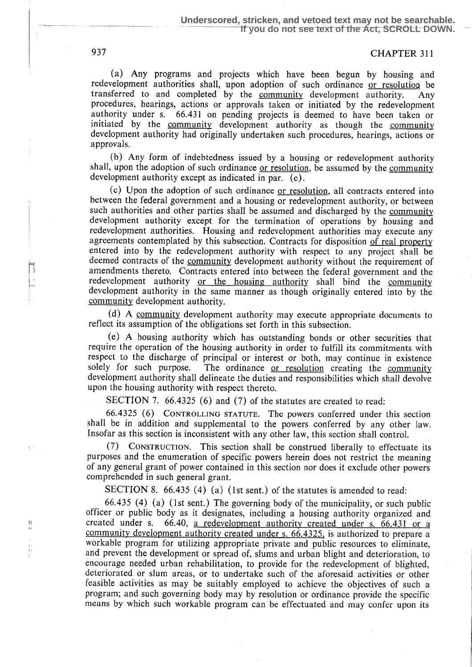(a) Any programs and projects which have been begun by housing and redevelopment authorities shall, upon adoption of such ordinance <u>or resolution</u> be transferred to and completed by the community development authority. Any transferred to and completed by the community development authority. procedures, hearings, actions or approvals taken or initiated by the redevelopment authority under s. 66.431 on pending projects is deemed to have been taken or initiated by the community development authority as though the community development authority had originally undertaken such procedures, hearings, actions or approvals.

(b) Any form of indebtedness issued by a housing or redevelopment authority shall, upon the adoption of such ordinance or resolution, be assumed by the community development authority except as indicated in par. (e) .

(c) Upon the adoption of such ordinance or resolution , all contracts entered into between the federal government and a housing or redevelopment authority, or between such authorities and other parties shall be assumed and discharged by the community development authority except for the termination of operations by housing and redevelopment authorities. Housing and redevelopment authorities may execute any agreements contemplated by this subsection. Contracts for disposition of real property entered into by the redevelopment authority with respect to any project shall be deemed contracts of the community development authority without the requirement of amendments thereto. Contracts entered into between the federal government and the redevelopment authority or the housing authority shall bind the community development authority in the same manner as though originally entered into by the community development authority.

(d) A community development authority may execute appropriate documents to reflect its assumption of the obligations set forth in this subsection.

(e) A housing authority which has outstanding bonds or other securities that require the operation of the housing authority in order to fulfill its commitments with respect to the discharge of principal or interest or both, may continue in existence solely for such purpose. The ordinance or resolution creating the community The ordinance or resolution creating the community development authority shall delineate the duties and responsibilities which shall devolve upon the housing authority with respect thereto.

SECTION 7. 66.4325 (6) and (7) of the statutes are created to read:

66.4325 (6) CONTROLLING STATUTE. The powers conferred under this section shall be in addition and supplemental to the powers conferred by any other law. Insofar as this section is inconsistent with any other law, this section shall control.

(7) CONSTRUCTION. This section shall be construed liberally to effectuate its purposes and the enumeration of specific powers herein does not restrict the meaning of any general grant of power contained in this section nor does it exclude other powers comprehended in such general grant.

SECTION 8. 66.435 (4) (a) (1st sent.) of the statutes is amended to read:

66.435 (4) (a) (1st sent.) The governing body of the municipality, or such public officer or public body as it designates, including a housing authority organized and created under s. 66.40, a redevelopment authority created under s. 66.431 or a community development authority created under s. 66.4325, is authorized to prepare a workable program for utilizing appropriate private and public resources to eliminate, and prevent the development or spread of, slums and urban blight and deterioration, to encourage needed urban rehabilitation, to provide for the redevelopment of blighted, deteriorated or slum areas, or to undertake such of the aforesaid activities or other feasible activities as may be suitably employed to achieve the objectives of such a program; and such governing body may by resolution or ordinance provide the specific means by which such workable program can be effectuated and may confer upon its

 $\frac{1}{2}$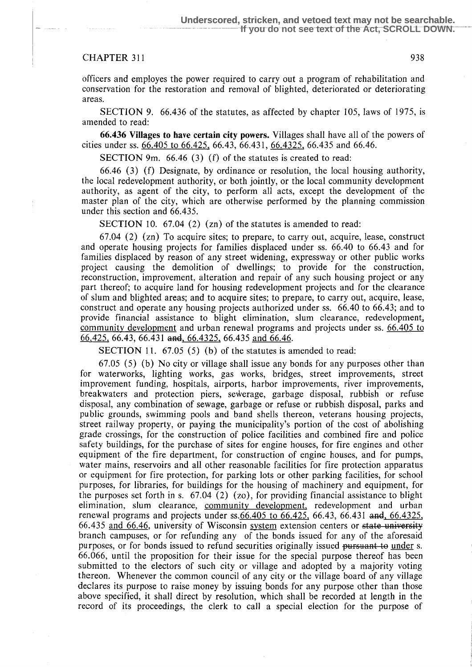#### CHAPTER 311 938

officers and employes the power required to carry out a program of rehabilitation and conservation for the restoration and removal of blighted, deteriorated or deteriorating areas.

SECTION 9. 66.436 of the statutes, as affected by chapter 105, laws of 1975, is amended to read:

66.436 Villages to have certain city powers . Villages shall have all of the powers of cities under ss . 66.405 to 66.425, 66.43, 66.431, 66.4325, 66.435 and 66.46.

SECTION 9m. 66.46 (3) (f) of the statutes is created to read:

66.46 (3) (f) Designate, by ordinance or resolution, the local housing authority, the local redevelopment authority, or both jointly, or the local community development authority, as agent of the city, to perform all acts, except the development of the master plan of the city, which are otherwise performed by the planning commission under this section and 66.435.

SECTION 10. 67.04 (2) (zn) of the statutes is amended to read:

67.04 (2) (zn) To acquire sites; to prepare, to carry out, acquire, lease, construct and operate housing projects for families displaced under ss . 66 .40 to 66.43 and for families displaced by reason of any street widening, expressway or other public works project causing the demolition of dwellings; to provide for the construction, reconstruction, improvement, alteration and repair of any such housing project or any part thereof; to acquire land for housing redevelopment projects and for the clearance of slum and blighted areas; and to acquire sites; to prepare, to carry out, acquire, lease, construct and operate any housing projects authorized under ss. 66.40 to 66.43; and to provide financial assistance to blight elimination, slum clearance, redevelopment, community development and urban renewal programs and projects under ss. 66.405 to  $66.425, 66.43, 66.431$  and, 66.4325, 66.435 and 66.46.

SECTION 11. 67.05 (5) (b) of the statutes is amended to read:

 $67.05$  (5) (b) No city or village shall issue any bonds for any purposes other than for waterworks, lighting works, gas works, bridges, street improvements, street improvement funding, hospitals, airports, harbor improvements, river improvements, breakwaters and protection piers, sewerage, garbage disposal, rubbish or refuse disposal, any combination of sewage, garbage or refuse or rubbish disposal, parks and public grounds, swimming pools and band shells thereon, veterans housing projects, street railway property, or paying the municipality's portion of the cost of abolishing grade crossings, for the construction of police facilities and combined fire and police safety buildings, for the purchase of sites for engine houses, for fire engines and other equipment of the fire department, for construction of engine houses, and for pumps, water mains, reservoirs and all other reasonable facilities for fire protection apparatus or equipment for fire protection, for parking lots or other parking facilities, for school purposes, for libraries, for buildings for the housing of machinery and equipment, for the purposes set forth in s.  $67.04$  (2) (zo), for providing financial assistance to blight elimination, slum clearance, community development, redevelopment and urban renewal programs and projects under ss.  $66.405$  to  $66.425$ , 66.43, 66.431 and, 66.4325, 66.435 and 66.46, university of Wisconsin system extension centers or state university branch campuses, or for refunding any of the bonds issued for any of the aforesaid purposes, or for bonds issued to refund securities originally issued pursuant to under s. 66.066, until the proposition for their issue for the special purpose thereof has been submitted to the electors of such city or village and adopted by a majority voting thereon. Whenever the common council of any city or the village board of any village declares its purpose to raise money by issuing bonds for any purpose other than those above specified, it shall direct by resolution, which shall be recorded at length in the record of its proceedings, the clerk to call a special election for the purpose of